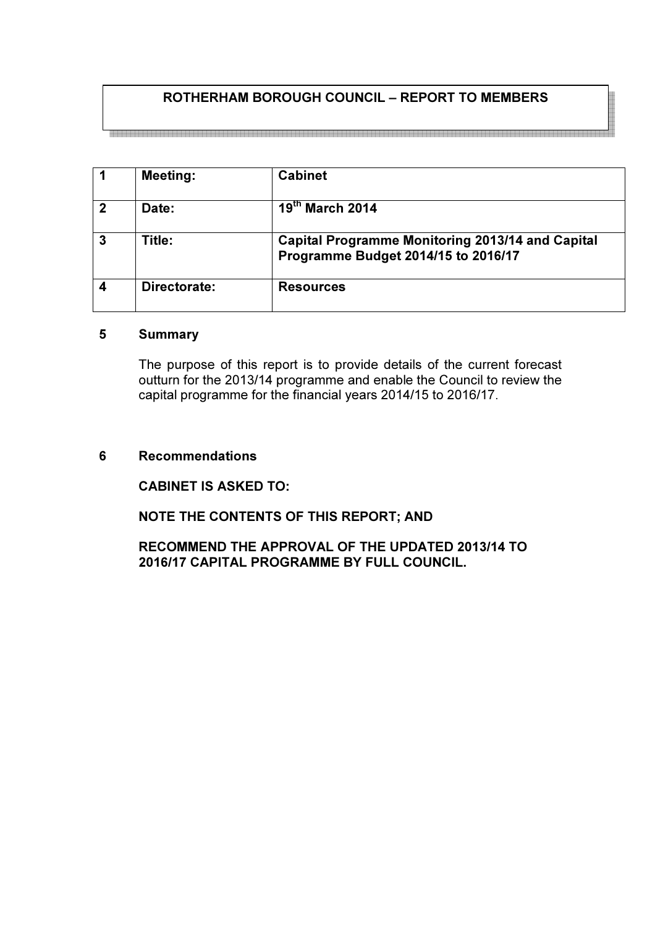# ROTHERHAM BOROUGH COUNCIL – REPORT TO MEMBERS

1 | Meeting: | Cabinet 2 Date:  $19<sup>th</sup> March 2014$ 3 Title: Capital Programme Monitoring 2013/14 and Capital Programme Budget 2014/15 to 2016/17 4 Directorate: Resources

## 5 Summary

The purpose of this report is to provide details of the current forecast outturn for the 2013/14 programme and enable the Council to review the capital programme for the financial years 2014/15 to 2016/17.

#### 6 Recommendations

CABINET IS ASKED TO:

NOTE THE CONTENTS OF THIS REPORT; AND

RECOMMEND THE APPROVAL OF THE UPDATED 2013/14 TO 2016/17 CAPITAL PROGRAMME BY FULL COUNCIL.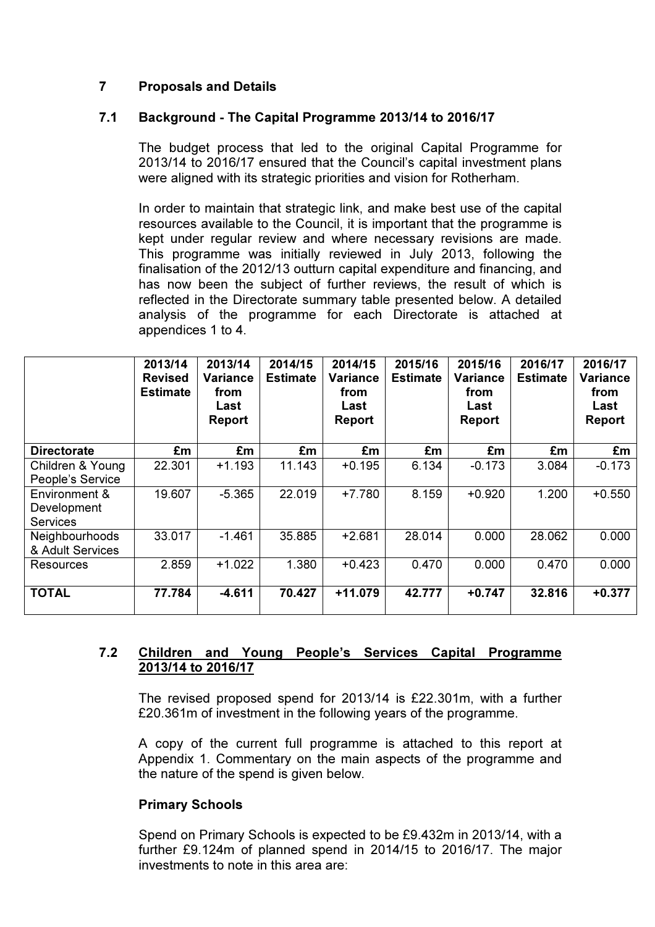# 7 Proposals and Details

## 7.1 Background - The Capital Programme 2013/14 to 2016/17

The budget process that led to the original Capital Programme for 2013/14 to 2016/17 ensured that the Council's capital investment plans were aligned with its strategic priorities and vision for Rotherham.

In order to maintain that strategic link, and make best use of the capital resources available to the Council, it is important that the programme is kept under regular review and where necessary revisions are made. This programme was initially reviewed in July 2013, following the finalisation of the 2012/13 outturn capital expenditure and financing, and has now been the subject of further reviews, the result of which is reflected in the Directorate summary table presented below. A detailed analysis of the programme for each Directorate is attached at appendices 1 to 4.

|                                                 | 2013/14<br><b>Revised</b><br><b>Estimate</b> | 2013/14<br><b>Variance</b><br>from<br>Last<br><b>Report</b> | 2014/15<br><b>Estimate</b> | 2014/15<br>Variance<br>from<br>Last<br><b>Report</b> | 2015/16<br><b>Estimate</b> | 2015/16<br>Variance<br>from<br>Last<br>Report | 2016/17<br><b>Estimate</b> | 2016/17<br>Variance<br>from<br>Last<br><b>Report</b> |
|-------------------------------------------------|----------------------------------------------|-------------------------------------------------------------|----------------------------|------------------------------------------------------|----------------------------|-----------------------------------------------|----------------------------|------------------------------------------------------|
| <b>Directorate</b>                              | £m                                           | £m                                                          | £m                         | £m                                                   | £m                         | £m                                            | £m                         | £m                                                   |
| Children & Young<br>People's Service            | 22.301                                       | $+1.193$                                                    | 11.143                     | $+0.195$                                             | 6.134                      | $-0.173$                                      | 3.084                      | $-0.173$                                             |
| Environment &<br>Development<br><b>Services</b> | 19.607                                       | $-5.365$                                                    | 22.019                     | $+7.780$                                             | 8.159                      | $+0.920$                                      | 1.200                      | $+0.550$                                             |
| Neighbourhoods<br>& Adult Services              | 33.017                                       | $-1.461$                                                    | 35.885                     | $+2.681$                                             | 28.014                     | 0.000                                         | 28.062                     | 0.000                                                |
| Resources                                       | 2.859                                        | $+1.022$                                                    | 1.380                      | $+0.423$                                             | 0.470                      | 0.000                                         | 0.470                      | 0.000                                                |
| <b>TOTAL</b>                                    | 77.784                                       | $-4.611$                                                    | 70.427                     | $+11.079$                                            | 42.777                     | +0.747                                        | 32.816                     | $+0.377$                                             |

## 7.2 Children and Young People's Services Capital Programme 2013/14 to 2016/17

The revised proposed spend for 2013/14 is £22.301m, with a further £20.361m of investment in the following years of the programme.

A copy of the current full programme is attached to this report at Appendix 1. Commentary on the main aspects of the programme and the nature of the spend is given below.

## Primary Schools

Spend on Primary Schools is expected to be £9.432m in 2013/14, with a further £9.124m of planned spend in 2014/15 to 2016/17. The major investments to note in this area are: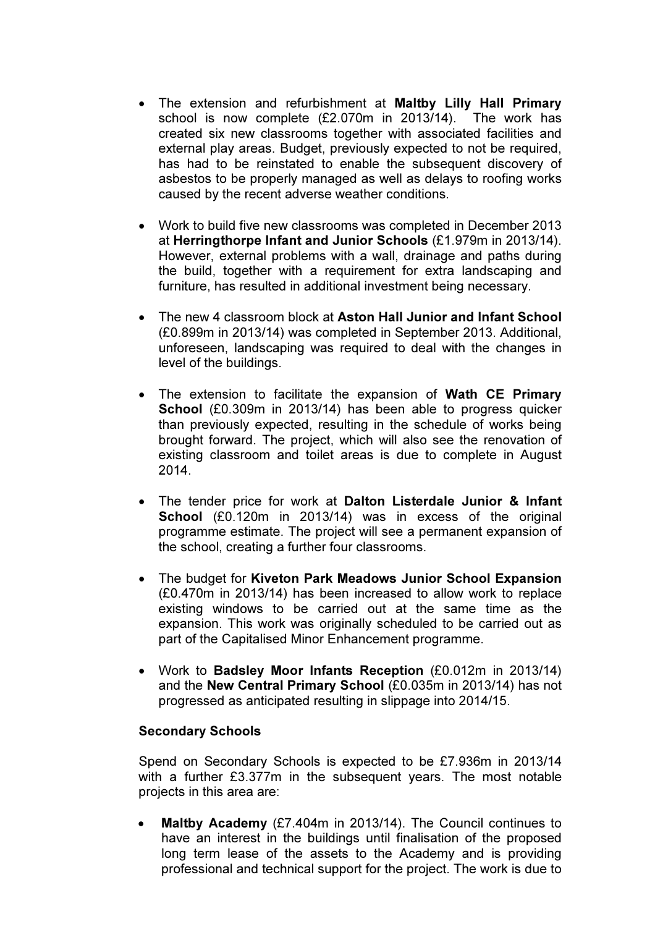- The extension and refurbishment at Maltby Lilly Hall Primary school is now complete (£2.070m in 2013/14). The work has created six new classrooms together with associated facilities and external play areas. Budget, previously expected to not be required, has had to be reinstated to enable the subsequent discovery of asbestos to be properly managed as well as delays to roofing works caused by the recent adverse weather conditions.
- Work to build five new classrooms was completed in December 2013 at Herringthorpe Infant and Junior Schools (£1.979m in 2013/14). However, external problems with a wall, drainage and paths during the build, together with a requirement for extra landscaping and furniture, has resulted in additional investment being necessary.
- The new 4 classroom block at Aston Hall Junior and Infant School (£0.899m in 2013/14) was completed in September 2013. Additional, unforeseen, landscaping was required to deal with the changes in level of the buildings.
- The extension to facilitate the expansion of Wath CE Primary School (£0.309m in 2013/14) has been able to progress quicker than previously expected, resulting in the schedule of works being brought forward. The project, which will also see the renovation of existing classroom and toilet areas is due to complete in August 2014.
- The tender price for work at Dalton Listerdale Junior & Infant School (£0.120m in 2013/14) was in excess of the original programme estimate. The project will see a permanent expansion of the school, creating a further four classrooms.
- The budget for Kiveton Park Meadows Junior School Expansion (£0.470m in 2013/14) has been increased to allow work to replace existing windows to be carried out at the same time as the expansion. This work was originally scheduled to be carried out as part of the Capitalised Minor Enhancement programme.
- Work to Badsley Moor Infants Reception (£0.012m in 2013/14) and the New Central Primary School (£0.035m in 2013/14) has not progressed as anticipated resulting in slippage into 2014/15.

## Secondary Schools

Spend on Secondary Schools is expected to be £7.936m in 2013/14 with a further £3.377m in the subsequent years. The most notable projects in this area are:

• Maltby Academy (£7.404m in 2013/14). The Council continues to have an interest in the buildings until finalisation of the proposed long term lease of the assets to the Academy and is providing professional and technical support for the project. The work is due to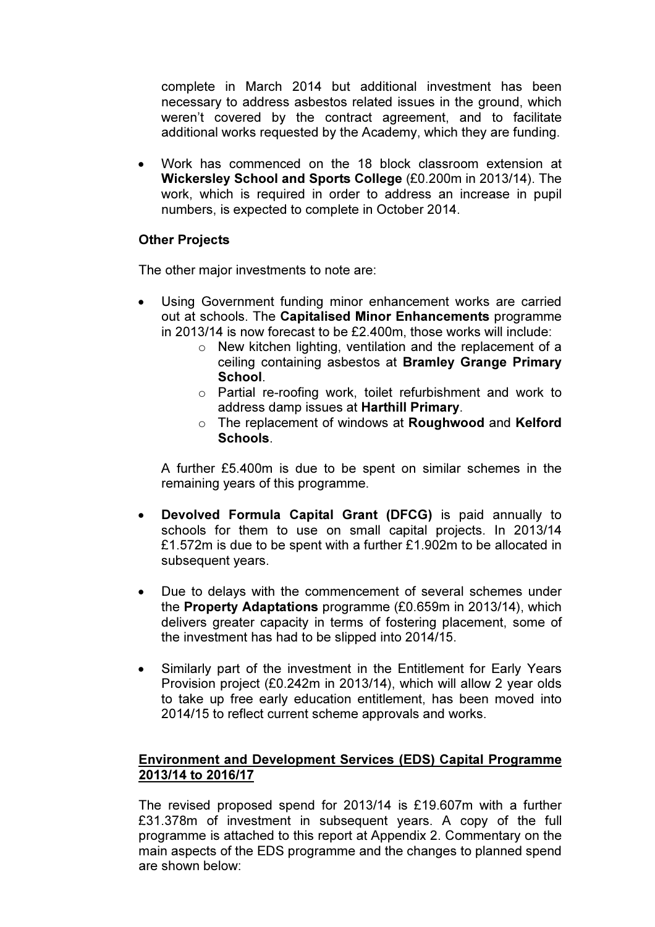complete in March 2014 but additional investment has been necessary to address asbestos related issues in the ground, which weren't covered by the contract agreement, and to facilitate additional works requested by the Academy, which they are funding.

• Work has commenced on the 18 block classroom extension at Wickersley School and Sports College (£0.200m in 2013/14). The work, which is required in order to address an increase in pupil numbers, is expected to complete in October 2014.

## Other Projects

The other major investments to note are:

- Using Government funding minor enhancement works are carried out at schools. The Capitalised Minor Enhancements programme in 2013/14 is now forecast to be £2.400m, those works will include:
	- o New kitchen lighting, ventilation and the replacement of a ceiling containing asbestos at Bramley Grange Primary School.
	- o Partial re-roofing work, toilet refurbishment and work to address damp issues at Harthill Primary.
	- o The replacement of windows at Roughwood and Kelford Schools.

A further £5.400m is due to be spent on similar schemes in the remaining years of this programme.

- Devolved Formula Capital Grant (DFCG) is paid annually to schools for them to use on small capital projects. In 2013/14 £1.572m is due to be spent with a further £1.902m to be allocated in subsequent years.
- Due to delays with the commencement of several schemes under the Property Adaptations programme (£0.659m in 2013/14), which delivers greater capacity in terms of fostering placement, some of the investment has had to be slipped into 2014/15.
- Similarly part of the investment in the Entitlement for Early Years Provision project (£0.242m in 2013/14), which will allow 2 year olds to take up free early education entitlement, has been moved into 2014/15 to reflect current scheme approvals and works.

# Environment and Development Services (EDS) Capital Programme 2013/14 to 2016/17

The revised proposed spend for 2013/14 is £19.607m with a further £31.378m of investment in subsequent years. A copy of the full programme is attached to this report at Appendix 2. Commentary on the main aspects of the EDS programme and the changes to planned spend are shown below: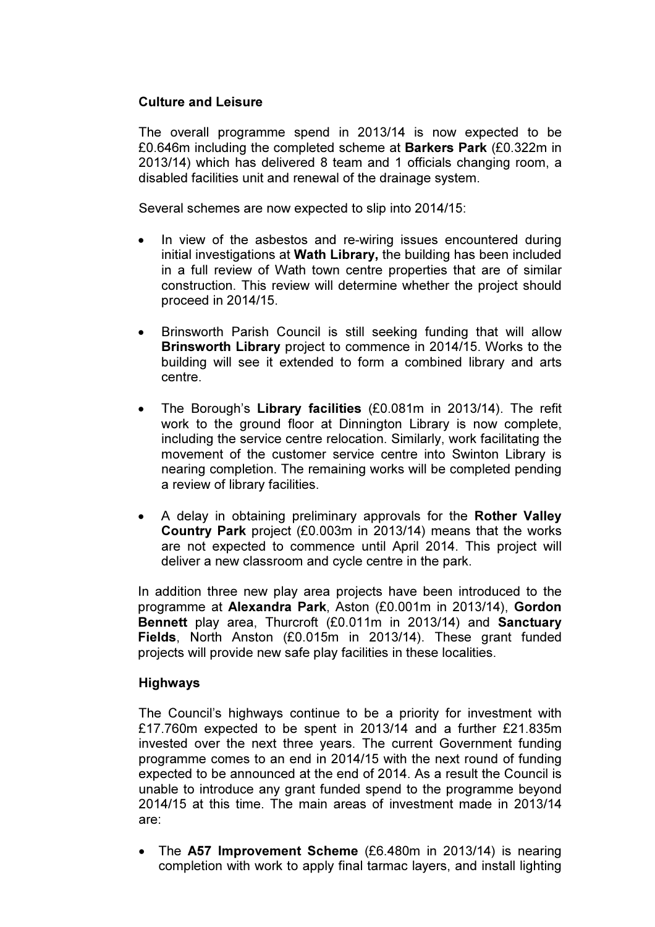### Culture and Leisure

The overall programme spend in 2013/14 is now expected to be £0.646m including the completed scheme at Barkers Park (£0.322m in 2013/14) which has delivered 8 team and 1 officials changing room, a disabled facilities unit and renewal of the drainage system.

Several schemes are now expected to slip into 2014/15:

- In view of the asbestos and re-wiring issues encountered during initial investigations at Wath Library, the building has been included in a full review of Wath town centre properties that are of similar construction. This review will determine whether the project should proceed in 2014/15.
- Brinsworth Parish Council is still seeking funding that will allow Brinsworth Library project to commence in 2014/15. Works to the building will see it extended to form a combined library and arts centre.
- The Borough's Library facilities (£0.081m in 2013/14). The refit work to the ground floor at Dinnington Library is now complete, including the service centre relocation. Similarly, work facilitating the movement of the customer service centre into Swinton Library is nearing completion. The remaining works will be completed pending a review of library facilities.
- A delay in obtaining preliminary approvals for the Rother Valley Country Park project (£0.003m in 2013/14) means that the works are not expected to commence until April 2014. This project will deliver a new classroom and cycle centre in the park.

In addition three new play area projects have been introduced to the programme at Alexandra Park, Aston (£0.001m in 2013/14), Gordon Bennett play area, Thurcroft (£0.011m in 2013/14) and Sanctuary Fields, North Anston (£0.015m in 2013/14). These grant funded projects will provide new safe play facilities in these localities.

## Highways

The Council's highways continue to be a priority for investment with £17.760m expected to be spent in 2013/14 and a further £21.835m invested over the next three years. The current Government funding programme comes to an end in 2014/15 with the next round of funding expected to be announced at the end of 2014. As a result the Council is unable to introduce any grant funded spend to the programme beyond 2014/15 at this time. The main areas of investment made in 2013/14 are:

• The A57 Improvement Scheme (£6.480m in 2013/14) is nearing completion with work to apply final tarmac layers, and install lighting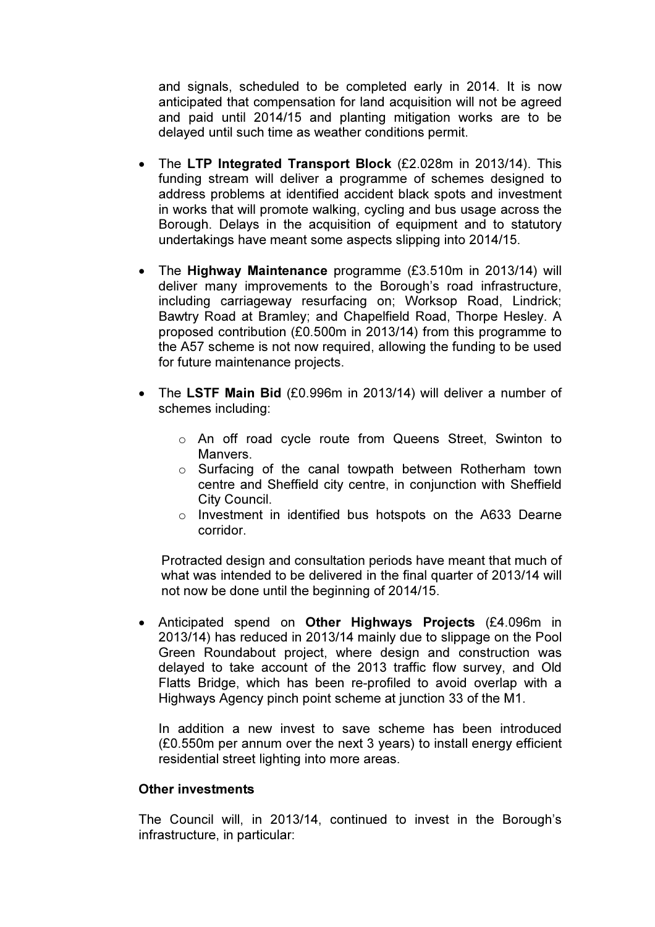and signals, scheduled to be completed early in 2014. It is now anticipated that compensation for land acquisition will not be agreed and paid until 2014/15 and planting mitigation works are to be delayed until such time as weather conditions permit.

- The LTP Integrated Transport Block (£2.028m in 2013/14). This funding stream will deliver a programme of schemes designed to address problems at identified accident black spots and investment in works that will promote walking, cycling and bus usage across the Borough. Delays in the acquisition of equipment and to statutory undertakings have meant some aspects slipping into 2014/15.
- The Highway Maintenance programme (£3.510m in 2013/14) will deliver many improvements to the Borough's road infrastructure, including carriageway resurfacing on; Worksop Road, Lindrick; Bawtry Road at Bramley; and Chapelfield Road, Thorpe Hesley. A proposed contribution (£0.500m in 2013/14) from this programme to the A57 scheme is not now required, allowing the funding to be used for future maintenance projects.
- The LSTF Main Bid (£0.996m in 2013/14) will deliver a number of schemes including:
	- o An off road cycle route from Queens Street, Swinton to Manvers.
	- o Surfacing of the canal towpath between Rotherham town centre and Sheffield city centre, in conjunction with Sheffield City Council.
	- o Investment in identified bus hotspots on the A633 Dearne corridor.

Protracted design and consultation periods have meant that much of what was intended to be delivered in the final quarter of 2013/14 will not now be done until the beginning of 2014/15.

• Anticipated spend on Other Highways Projects (£4.096m in 2013/14) has reduced in 2013/14 mainly due to slippage on the Pool Green Roundabout project, where design and construction was delayed to take account of the 2013 traffic flow survey, and Old Flatts Bridge, which has been re-profiled to avoid overlap with a Highways Agency pinch point scheme at junction 33 of the M1.

In addition a new invest to save scheme has been introduced (£0.550m per annum over the next 3 years) to install energy efficient residential street lighting into more areas.

#### Other investments

The Council will, in 2013/14, continued to invest in the Borough's infrastructure, in particular: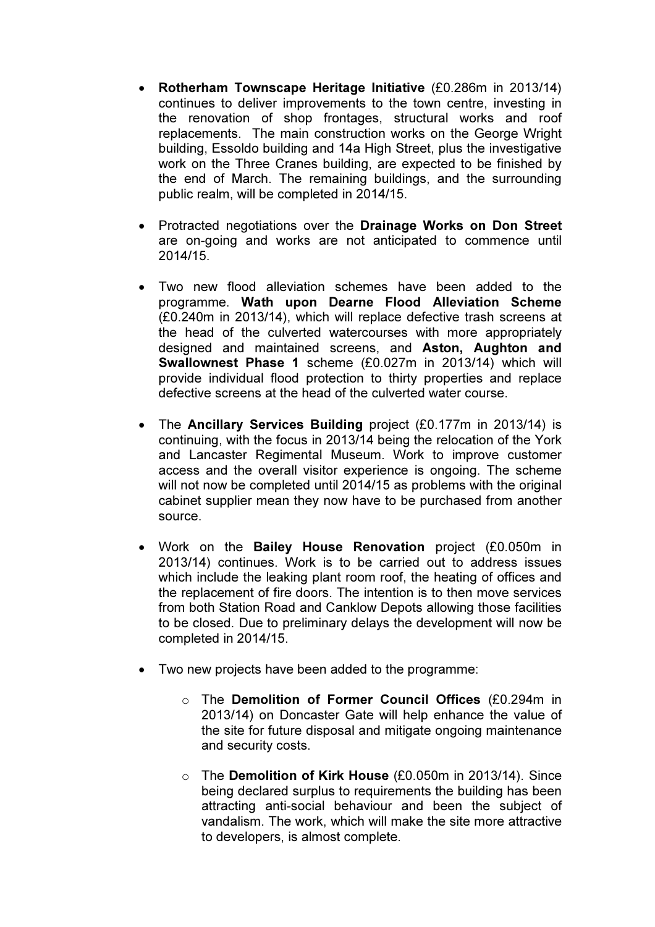- Rotherham Townscape Heritage Initiative (£0.286m in 2013/14) continues to deliver improvements to the town centre, investing in the renovation of shop frontages, structural works and roof replacements. The main construction works on the George Wright building, Essoldo building and 14a High Street, plus the investigative work on the Three Cranes building, are expected to be finished by the end of March. The remaining buildings, and the surrounding public realm, will be completed in 2014/15.
- Protracted negotiations over the Drainage Works on Don Street are on-going and works are not anticipated to commence until 2014/15.
- Two new flood alleviation schemes have been added to the programme. Wath upon Dearne Flood Alleviation Scheme (£0.240m in 2013/14), which will replace defective trash screens at the head of the culverted watercourses with more appropriately designed and maintained screens, and Aston, Aughton and Swallownest Phase 1 scheme (£0.027m in 2013/14) which will provide individual flood protection to thirty properties and replace defective screens at the head of the culverted water course.
- The Ancillary Services Building project (£0.177m in 2013/14) is continuing, with the focus in 2013/14 being the relocation of the York and Lancaster Regimental Museum. Work to improve customer access and the overall visitor experience is ongoing. The scheme will not now be completed until 2014/15 as problems with the original cabinet supplier mean they now have to be purchased from another source.
- Work on the Bailey House Renovation project (£0.050m in 2013/14) continues. Work is to be carried out to address issues which include the leaking plant room roof, the heating of offices and the replacement of fire doors. The intention is to then move services from both Station Road and Canklow Depots allowing those facilities to be closed. Due to preliminary delays the development will now be completed in 2014/15.
- Two new projects have been added to the programme:
	- o The Demolition of Former Council Offices (£0.294m in 2013/14) on Doncaster Gate will help enhance the value of the site for future disposal and mitigate ongoing maintenance and security costs.
	- o The Demolition of Kirk House (£0.050m in 2013/14). Since being declared surplus to requirements the building has been attracting anti-social behaviour and been the subject of vandalism. The work, which will make the site more attractive to developers, is almost complete.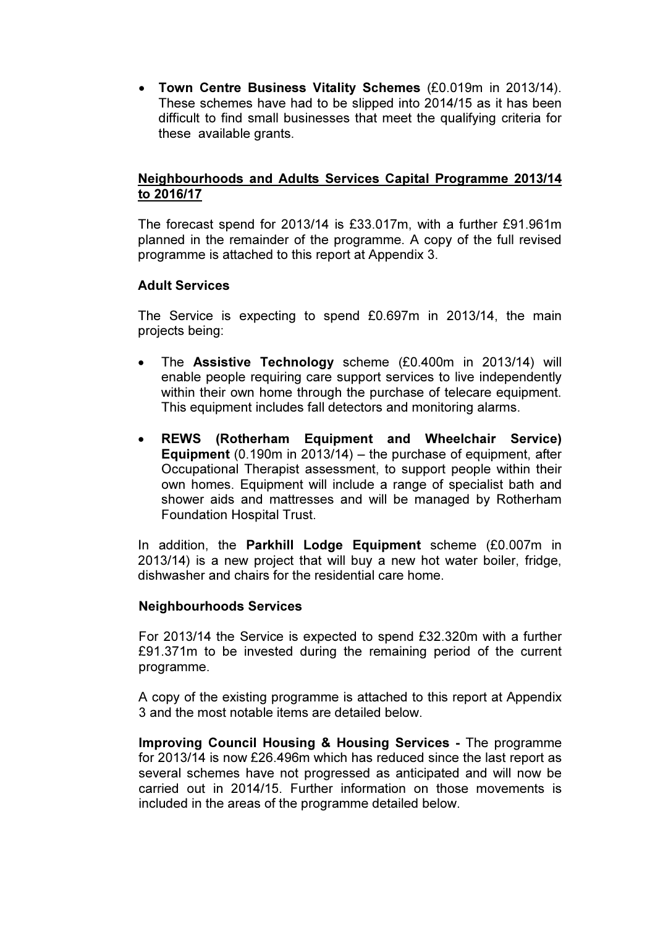• Town Centre Business Vitality Schemes (£0.019m in 2013/14). These schemes have had to be slipped into 2014/15 as it has been difficult to find small businesses that meet the qualifying criteria for these available grants.

# Neighbourhoods and Adults Services Capital Programme 2013/14 to 2016/17

The forecast spend for 2013/14 is £33.017m, with a further £91.961m planned in the remainder of the programme. A copy of the full revised programme is attached to this report at Appendix 3.

## Adult Services

The Service is expecting to spend £0.697m in 2013/14, the main projects being:

- The Assistive Technology scheme (£0.400m in 2013/14) will enable people requiring care support services to live independently within their own home through the purchase of telecare equipment. This equipment includes fall detectors and monitoring alarms.
- REWS (Rotherham Equipment and Wheelchair Service) Equipment (0.190m in 2013/14) – the purchase of equipment, after Occupational Therapist assessment, to support people within their own homes. Equipment will include a range of specialist bath and shower aids and mattresses and will be managed by Rotherham Foundation Hospital Trust.

In addition, the Parkhill Lodge Equipment scheme (£0.007m in 2013/14) is a new project that will buy a new hot water boiler, fridge, dishwasher and chairs for the residential care home.

## Neighbourhoods Services

For 2013/14 the Service is expected to spend £32.320m with a further £91.371m to be invested during the remaining period of the current programme.

A copy of the existing programme is attached to this report at Appendix 3 and the most notable items are detailed below.

Improving Council Housing & Housing Services - The programme for 2013/14 is now £26.496m which has reduced since the last report as several schemes have not progressed as anticipated and will now be carried out in 2014/15. Further information on those movements is included in the areas of the programme detailed below.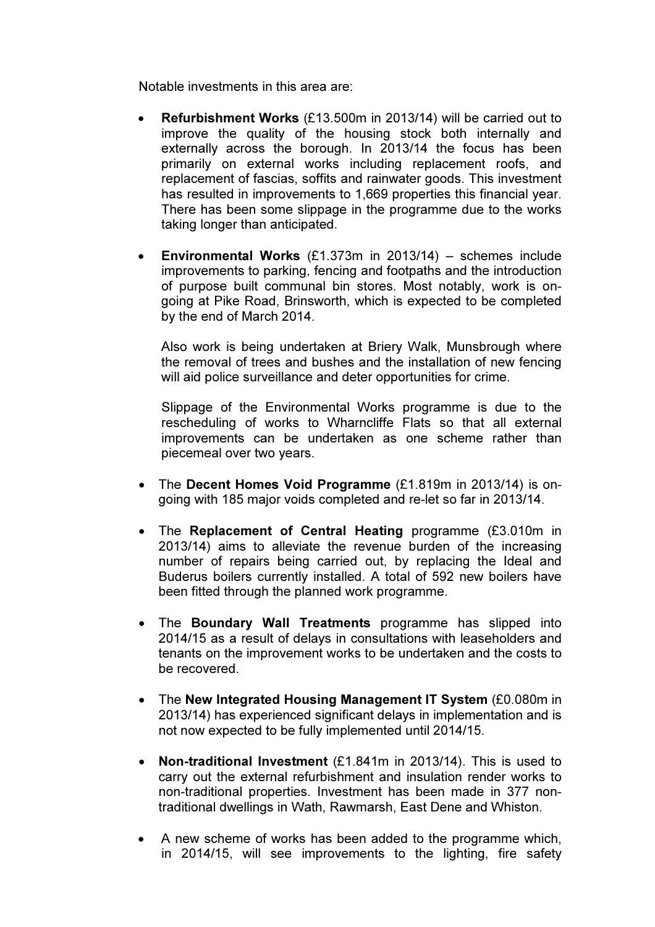Notable investments in this area are:

- Refurbishment Works (£13.500m in 2013/14) will be carried out to improve the quality of the housing stock both internally and externally across the borough. In 2013/14 the focus has been primarily on external works including replacement roofs, and replacement of fascias, soffits and rainwater goods. This investment has resulted in improvements to 1,669 properties this financial year. There has been some slippage in the programme due to the works taking longer than anticipated.
- **Environmental Works**  $(E1.373m)$  in 2013/14) schemes include improvements to parking, fencing and footpaths and the introduction of purpose built communal bin stores. Most notably, work is ongoing at Pike Road, Brinsworth, which is expected to be completed by the end of March 2014.

Also work is being undertaken at Briery Walk, Munsbrough where the removal of trees and bushes and the installation of new fencing will aid police surveillance and deter opportunities for crime.

Slippage of the Environmental Works programme is due to the rescheduling of works to Wharncliffe Flats so that all external improvements can be undertaken as one scheme rather than piecemeal over two years.

- The Decent Homes Void Programme (£1.819m in 2013/14) is ongoing with 185 major voids completed and re-let so far in 2013/14.
- The Replacement of Central Heating programme (£3.010m in 2013/14) aims to alleviate the revenue burden of the increasing number of repairs being carried out, by replacing the Ideal and Buderus boilers currently installed. A total of 592 new boilers have been fitted through the planned work programme.
- The Boundary Wall Treatments programme has slipped into 2014/15 as a result of delays in consultations with leaseholders and tenants on the improvement works to be undertaken and the costs to be recovered.
- The New Integrated Housing Management IT System (£0.080m in 2013/14) has experienced significant delays in implementation and is not now expected to be fully implemented until 2014/15.
- Non-traditional Investment (£1.841m in 2013/14). This is used to carry out the external refurbishment and insulation render works to non-traditional properties. Investment has been made in 377 nontraditional dwellings in Wath, Rawmarsh, East Dene and Whiston.
- A new scheme of works has been added to the programme which, in 2014/15, will see improvements to the lighting, fire safety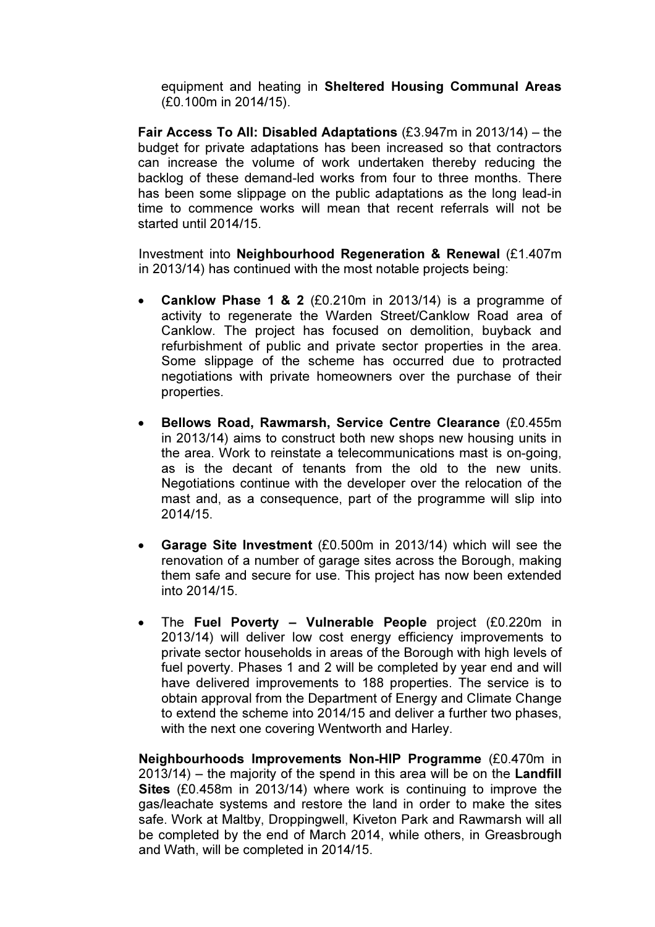equipment and heating in Sheltered Housing Communal Areas (£0.100m in 2014/15).

Fair Access To All: Disabled Adaptations (£3.947m in 2013/14) – the budget for private adaptations has been increased so that contractors can increase the volume of work undertaken thereby reducing the backlog of these demand-led works from four to three months. There has been some slippage on the public adaptations as the long lead-in time to commence works will mean that recent referrals will not be started until 2014/15.

Investment into Neighbourhood Regeneration & Renewal (£1.407m in 2013/14) has continued with the most notable projects being:

- **Canklow Phase 1 & 2** (£0.210m in 2013/14) is a programme of activity to regenerate the Warden Street/Canklow Road area of Canklow. The project has focused on demolition, buyback and refurbishment of public and private sector properties in the area. Some slippage of the scheme has occurred due to protracted negotiations with private homeowners over the purchase of their properties.
- Bellows Road, Rawmarsh, Service Centre Clearance (£0.455m in 2013/14) aims to construct both new shops new housing units in the area. Work to reinstate a telecommunications mast is on-going, as is the decant of tenants from the old to the new units. Negotiations continue with the developer over the relocation of the mast and, as a consequence, part of the programme will slip into 2014/15.
- Garage Site Investment (£0.500m in 2013/14) which will see the renovation of a number of garage sites across the Borough, making them safe and secure for use. This project has now been extended into 2014/15.
- The Fuel Poverty Vulnerable People project (£0.220m in 2013/14) will deliver low cost energy efficiency improvements to private sector households in areas of the Borough with high levels of fuel poverty. Phases 1 and 2 will be completed by year end and will have delivered improvements to 188 properties. The service is to obtain approval from the Department of Energy and Climate Change to extend the scheme into 2014/15 and deliver a further two phases, with the next one covering Wentworth and Harley.

Neighbourhoods Improvements Non-HIP Programme (£0.470m in 2013/14) – the majority of the spend in this area will be on the Landfill Sites (£0.458m in 2013/14) where work is continuing to improve the gas/leachate systems and restore the land in order to make the sites safe. Work at Maltby, Droppingwell, Kiveton Park and Rawmarsh will all be completed by the end of March 2014, while others, in Greasbrough and Wath, will be completed in 2014/15.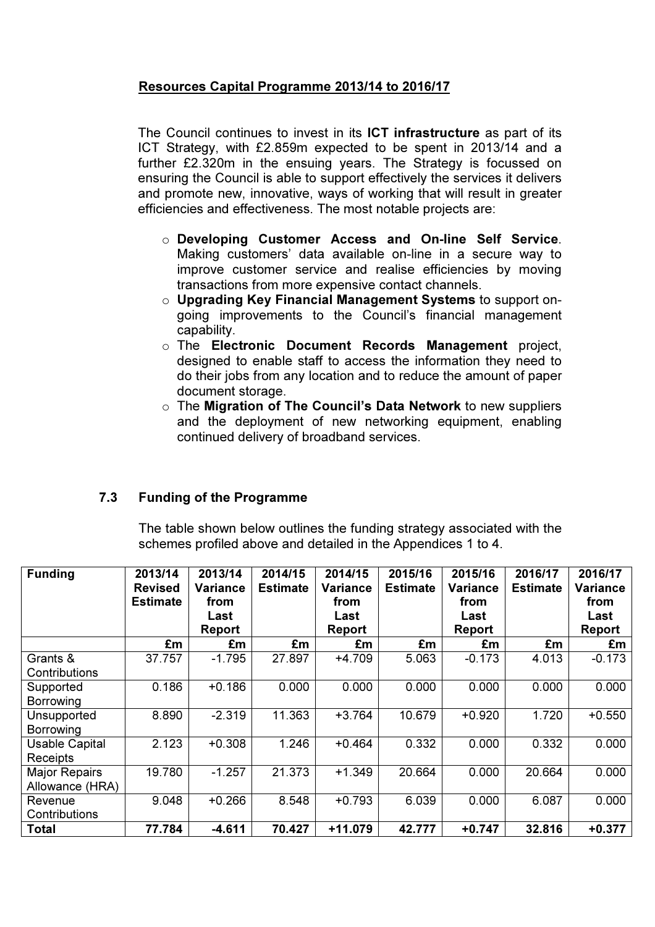# Resources Capital Programme 2013/14 to 2016/17

The Council continues to invest in its ICT infrastructure as part of its ICT Strategy, with £2.859m expected to be spent in 2013/14 and a further £2.320m in the ensuing years. The Strategy is focussed on ensuring the Council is able to support effectively the services it delivers and promote new, innovative, ways of working that will result in greater efficiencies and effectiveness. The most notable projects are:

- o Developing Customer Access and On-line Self Service. Making customers' data available on-line in a secure way to improve customer service and realise efficiencies by moving transactions from more expensive contact channels.
- o Upgrading Key Financial Management Systems to support ongoing improvements to the Council's financial management capability.
- o The Electronic Document Records Management project, designed to enable staff to access the information they need to do their jobs from any location and to reduce the amount of paper document storage.
- $\circ$  The Migration of The Council's Data Network to new suppliers and the deployment of new networking equipment, enabling continued delivery of broadband services.

# 7.3 Funding of the Programme

 The table shown below outlines the funding strategy associated with the schemes profiled above and detailed in the Appendices 1 to 4.

| <b>Funding</b>                           | 2013/14<br><b>Revised</b><br><b>Estimate</b> | 2013/14<br><b>Variance</b><br>from<br>Last | 2014/15<br><b>Estimate</b> | 2014/15<br><b>Variance</b><br>from<br>Last | 2015/16<br><b>Estimate</b> | 2015/16<br>Variance<br>from<br>Last | 2016/17<br><b>Estimate</b> | 2016/17<br>Variance<br>from<br>Last |
|------------------------------------------|----------------------------------------------|--------------------------------------------|----------------------------|--------------------------------------------|----------------------------|-------------------------------------|----------------------------|-------------------------------------|
|                                          |                                              | <b>Report</b>                              |                            | Report                                     |                            | <b>Report</b>                       |                            | <b>Report</b>                       |
|                                          | £m                                           | £m                                         | £m                         | £m                                         | £m                         | £m                                  | £m                         | £m                                  |
| Grants &<br>Contributions                | 37.757                                       | $-1.795$                                   | 27.897                     | $+4.709$                                   | 5.063                      | $-0.173$                            | 4.013                      | $-0.173$                            |
| Supported<br>Borrowing                   | 0.186                                        | $+0.186$                                   | 0.000                      | 0.000                                      | 0.000                      | 0.000                               | 0.000                      | 0.000                               |
| Unsupported<br>Borrowing                 | 8.890                                        | $-2.319$                                   | 11.363                     | $+3.764$                                   | 10.679                     | $+0.920$                            | 1.720                      | $+0.550$                            |
| <b>Usable Capital</b><br><b>Receipts</b> | 2.123                                        | $+0.308$                                   | 1.246                      | $+0.464$                                   | 0.332                      | 0.000                               | 0.332                      | 0.000                               |
| <b>Major Repairs</b><br>Allowance (HRA)  | 19.780                                       | $-1.257$                                   | 21.373                     | $+1.349$                                   | 20.664                     | 0.000                               | 20.664                     | 0.000                               |
| Revenue<br>Contributions                 | 9.048                                        | $+0.266$                                   | 8.548                      | $+0.793$                                   | 6.039                      | 0.000                               | 6.087                      | 0.000                               |
| Total                                    | 77.784                                       | $-4.611$                                   | 70.427                     | $+11.079$                                  | 42.777                     | $+0.747$                            | 32.816                     | $+0.377$                            |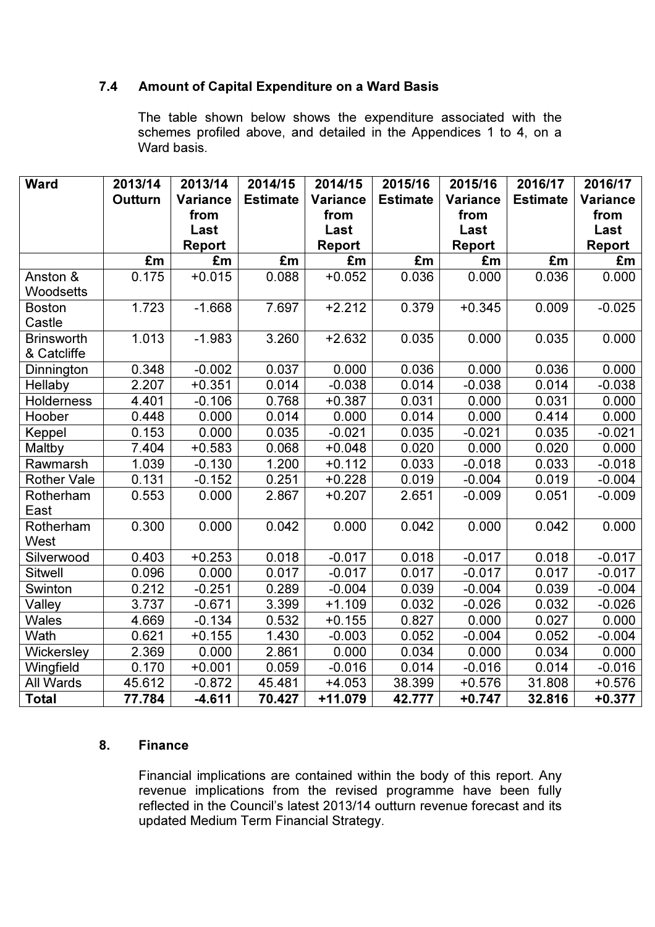# 7.4 Amount of Capital Expenditure on a Ward Basis

The table shown below shows the expenditure associated with the schemes profiled above, and detailed in the Appendices 1 to 4, on a Ward basis.

| <b>Ward</b>        | 2013/14 | 2013/14  | 2014/15         | 2014/15         | 2015/16         | 2015/16       | 2016/17         | 2016/17         |
|--------------------|---------|----------|-----------------|-----------------|-----------------|---------------|-----------------|-----------------|
|                    | Outturn | Variance | <b>Estimate</b> | <b>Variance</b> | <b>Estimate</b> | Variance      | <b>Estimate</b> | <b>Variance</b> |
|                    |         | from     |                 | from            |                 | from          |                 | from            |
|                    |         | Last     |                 | Last            |                 | Last          |                 | Last            |
|                    |         | Report   |                 | <b>Report</b>   |                 | <b>Report</b> |                 | Report          |
|                    | £m      | £m       | £m              | £m              | £m              | £m            | £m              | £m              |
| Anston &           | 0.175   | $+0.015$ | 0.088           | $+0.052$        | 0.036           | 0.000         | 0.036           | 0.000           |
| Woodsetts          |         |          |                 |                 |                 |               |                 |                 |
| <b>Boston</b>      | 1.723   | $-1.668$ | 7.697           | $+2.212$        | 0.379           | $+0.345$      | 0.009           | $-0.025$        |
| Castle             |         |          |                 |                 |                 |               |                 |                 |
| <b>Brinsworth</b>  | 1.013   | $-1.983$ | 3.260           | $+2.632$        | 0.035           | 0.000         | 0.035           | 0.000           |
| & Catcliffe        |         |          |                 |                 |                 |               |                 |                 |
| Dinnington         | 0.348   | $-0.002$ | 0.037           | 0.000           | 0.036           | 0.000         | 0.036           | 0.000           |
| Hellaby            | 2.207   | $+0.351$ | 0.014           | $-0.038$        | 0.014           | $-0.038$      | 0.014           | $-0.038$        |
| <b>Holderness</b>  | 4.401   | $-0.106$ | 0.768           | $+0.387$        | 0.031           | 0.000         | 0.031           | 0.000           |
| Hoober             | 0.448   | 0.000    | 0.014           | 0.000           | 0.014           | 0.000         | 0.414           | 0.000           |
| Keppel             | 0.153   | 0.000    | 0.035           | $-0.021$        | 0.035           | $-0.021$      | 0.035           | $-0.021$        |
| Maltby             | 7.404   | $+0.583$ | 0.068           | $+0.048$        | 0.020           | 0.000         | 0.020           | 0.000           |
| Rawmarsh           | 1.039   | $-0.130$ | 1.200           | $+0.112$        | 0.033           | $-0.018$      | 0.033           | $-0.018$        |
| <b>Rother Vale</b> | 0.131   | $-0.152$ | 0.251           | $+0.228$        | 0.019           | $-0.004$      | 0.019           | $-0.004$        |
| Rotherham          | 0.553   | 0.000    | 2.867           | $+0.207$        | 2.651           | $-0.009$      | 0.051           | $-0.009$        |
| East               |         |          |                 |                 |                 |               |                 |                 |
| Rotherham          | 0.300   | 0.000    | 0.042           | 0.000           | 0.042           | 0.000         | 0.042           | 0.000           |
| West               |         |          |                 |                 |                 |               |                 |                 |
| Silverwood         | 0.403   | $+0.253$ | 0.018           | $-0.017$        | 0.018           | $-0.017$      | 0.018           | $-0.017$        |
| <b>Sitwell</b>     | 0.096   | 0.000    | 0.017           | $-0.017$        | 0.017           | $-0.017$      | 0.017           | $-0.017$        |
| Swinton            | 0.212   | $-0.251$ | 0.289           | $-0.004$        | 0.039           | $-0.004$      | 0.039           | $-0.004$        |
| Valley             | 3.737   | $-0.671$ | 3.399           | $+1.109$        | 0.032           | $-0.026$      | 0.032           | $-0.026$        |
| Wales              | 4.669   | $-0.134$ | 0.532           | $+0.155$        | 0.827           | 0.000         | 0.027           | 0.000           |
| Wath               | 0.621   | $+0.155$ | 1.430           | $-0.003$        | 0.052           | $-0.004$      | 0.052           | $-0.004$        |
| Wickersley         | 2.369   | 0.000    | 2.861           | 0.000           | 0.034           | 0.000         | 0.034           | 0.000           |
| Wingfield          | 0.170   | $+0.001$ | 0.059           | $-0.016$        | 0.014           | $-0.016$      | 0.014           | $-0.016$        |
| All Wards          | 45.612  | $-0.872$ | 45.481          | $+4.053$        | 38.399          | $+0.576$      | 31.808          | $+0.576$        |
| <b>Total</b>       | 77.784  | $-4.611$ | 70.427          | $+11.079$       | 42.777          | $+0.747$      | 32.816          | $+0.377$        |

# 8. Finance

Financial implications are contained within the body of this report. Any revenue implications from the revised programme have been fully reflected in the Council's latest 2013/14 outturn revenue forecast and its updated Medium Term Financial Strategy.